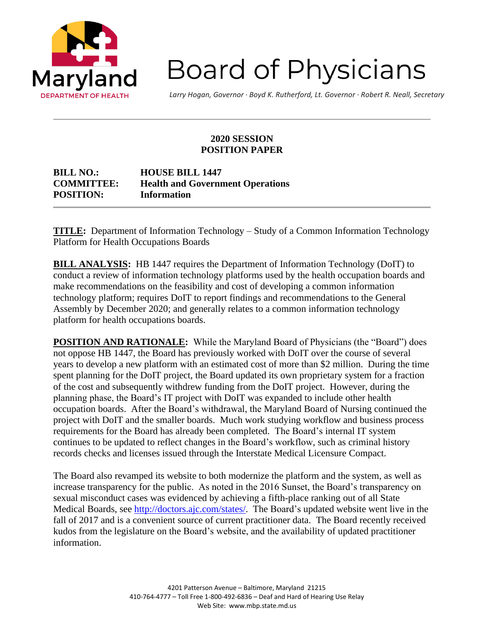

**Board of Physicians** 

*Larry Hogan, Governor ∙ Boyd K. Rutherford, Lt. Governor ∙ Robert R. Neall, Secretary*

## **2020 SESSION POSITION PAPER**

| <b>BILL NO.:</b>  | <b>HOUSE BILL 1447</b>                  |
|-------------------|-----------------------------------------|
| <b>COMMITTEE:</b> | <b>Health and Government Operations</b> |
| <b>POSITION:</b>  | Information                             |

**TITLE:** Department of Information Technology – Study of a Common Information Technology Platform for Health Occupations Boards

**BILL ANALYSIS:** HB 1447 requires the Department of Information Technology (DoIT) to conduct a review of information technology platforms used by the health occupation boards and make recommendations on the feasibility and cost of developing a common information technology platform; requires DoIT to report findings and recommendations to the General Assembly by December 2020; and generally relates to a common information technology platform for health occupations boards.

**POSITION AND RATIONALE:** While the Maryland Board of Physicians (the "Board") does not oppose HB 1447, the Board has previously worked with DoIT over the course of several years to develop a new platform with an estimated cost of more than \$2 million. During the time spent planning for the DoIT project, the Board updated its own proprietary system for a fraction of the cost and subsequently withdrew funding from the DoIT project. However, during the planning phase, the Board's IT project with DoIT was expanded to include other health occupation boards. After the Board's withdrawal, the Maryland Board of Nursing continued the project with DoIT and the smaller boards. Much work studying workflow and business process requirements for the Board has already been completed. The Board's internal IT system continues to be updated to reflect changes in the Board's workflow, such as criminal history records checks and licenses issued through the Interstate Medical Licensure Compact.

The Board also revamped its website to both modernize the platform and the system, as well as increase transparency for the public. As noted in the 2016 Sunset, the Board's transparency on sexual misconduct cases was evidenced by achieving a fifth-place ranking out of all State Medical Boards, see [http://doctors.ajc.com/states/.](http://doctors.ajc.com/states/) The Board's updated website went live in the fall of 2017 and is a convenient source of current practitioner data. The Board recently received kudos from the legislature on the Board's website, and the availability of updated practitioner information.